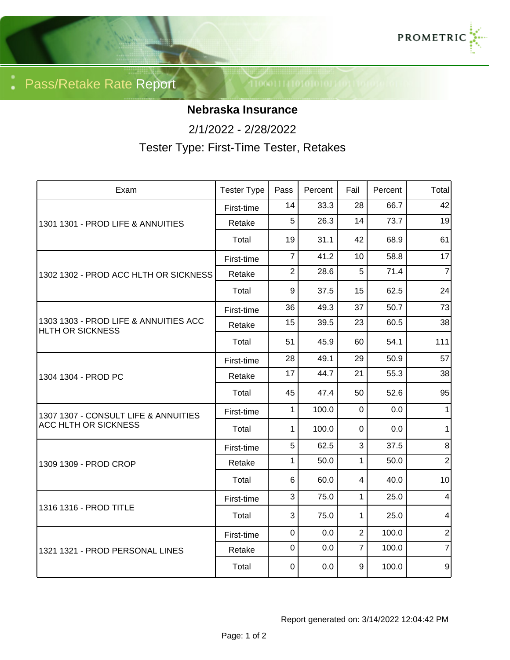

Pass/Retake Rate Report

## **Nebraska Insurance**

2/1/2022 - 2/28/2022

Tester Type: First-Time Tester, Retakes

| Exam                                                                | <b>Tester Type</b> | Pass           | Percent | Fail           | Percent | Total          |
|---------------------------------------------------------------------|--------------------|----------------|---------|----------------|---------|----------------|
| 1301 1301 - PROD LIFE & ANNUITIES                                   | First-time         | 14             | 33.3    | 28             | 66.7    | 42             |
|                                                                     | Retake             | 5              | 26.3    | 14             | 73.7    | 19             |
|                                                                     | Total              | 19             | 31.1    | 42             | 68.9    | 61             |
| 1302 1302 - PROD ACC HLTH OR SICKNESS                               | First-time         | $\overline{7}$ | 41.2    | 10             | 58.8    | 17             |
|                                                                     | Retake             | $\overline{2}$ | 28.6    | 5              | 71.4    | $\overline{7}$ |
|                                                                     | Total              | 9              | 37.5    | 15             | 62.5    | 24             |
| 1303 1303 - PROD LIFE & ANNUITIES ACC<br>HLTH OR SICKNESS           | First-time         | 36             | 49.3    | 37             | 50.7    | 73             |
|                                                                     | Retake             | 15             | 39.5    | 23             | 60.5    | 38             |
|                                                                     | Total              | 51             | 45.9    | 60             | 54.1    | 111            |
| 1304 1304 - PROD PC                                                 | First-time         | 28             | 49.1    | 29             | 50.9    | 57             |
|                                                                     | Retake             | 17             | 44.7    | 21             | 55.3    | 38             |
|                                                                     | Total              | 45             | 47.4    | 50             | 52.6    | 95             |
| 1307 1307 - CONSULT LIFE & ANNUITIES<br><b>ACC HLTH OR SICKNESS</b> | First-time         | $\mathbf{1}$   | 100.0   | $\mathbf 0$    | 0.0     | 1              |
|                                                                     | Total              | 1              | 100.0   | 0              | 0.0     | 1              |
| 1309 1309 - PROD CROP                                               | First-time         | 5              | 62.5    | 3              | 37.5    | 8 <sup>1</sup> |
|                                                                     | Retake             | 1              | 50.0    | $\mathbf{1}$   | 50.0    | $\overline{2}$ |
|                                                                     | Total              | 6              | 60.0    | 4              | 40.0    | 10             |
| 1316 1316 - PROD TITLE                                              | First-time         | 3              | 75.0    | $\mathbf{1}$   | 25.0    | 4              |
|                                                                     | Total              | 3              | 75.0    | 1              | 25.0    | 4              |
| 1321 1321 - PROD PERSONAL LINES                                     | First-time         | $\mathbf 0$    | 0.0     | $\overline{2}$ | 100.0   | $\mathbf{2}$   |
|                                                                     | Retake             | $\mathbf 0$    | 0.0     | $\overline{7}$ | 100.0   | $\overline{7}$ |
|                                                                     | Total              | 0              | 0.0     | 9              | 100.0   | $\overline{9}$ |